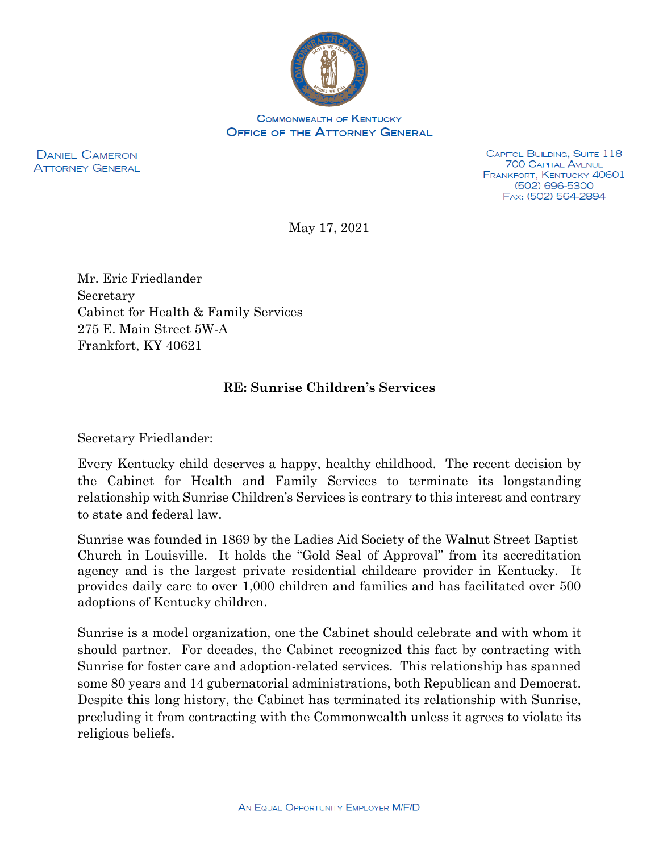

**COMMONWEALTH OF KENTUCKY OFFICE OF THE ATTORNEY GENERAL** 

**DANIEL CAMERON ATTORNEY GENERAL** 

CAPITOL BUILDING, SUITE 118 **700 CAPITAL AVENUE** FRANKFORT, KENTUCKY 40601 (502) 696-5300 FAX: (502) 564-2894

May 17, 2021

Mr. Eric Friedlander Secretary Cabinet for Health & Family Services 275 E. Main Street 5W-A Frankfort, KY 40621

## **RE: Sunrise Children's Services**

Secretary Friedlander:

Every Kentucky child deserves a happy, healthy childhood. The recent decision by the Cabinet for Health and Family Services to terminate its longstanding relationship with Sunrise Children's Services is contrary to this interest and contrary to state and federal law.

Sunrise was founded in 1869 by the Ladies Aid Society of the Walnut Street Baptist Church in Louisville. It holds the "Gold Seal of Approval" from its accreditation agency and is the largest private residential childcare provider in Kentucky. It provides daily care to over 1,000 children and families and has facilitated over 500 adoptions of Kentucky children.

Sunrise is a model organization, one the Cabinet should celebrate and with whom it should partner. For decades, the Cabinet recognized this fact by contracting with Sunrise for foster care and adoption-related services. This relationship has spanned some 80 years and 14 gubernatorial administrations, both Republican and Democrat. Despite this long history, the Cabinet has terminated its relationship with Sunrise, precluding it from contracting with the Commonwealth unless it agrees to violate its religious beliefs.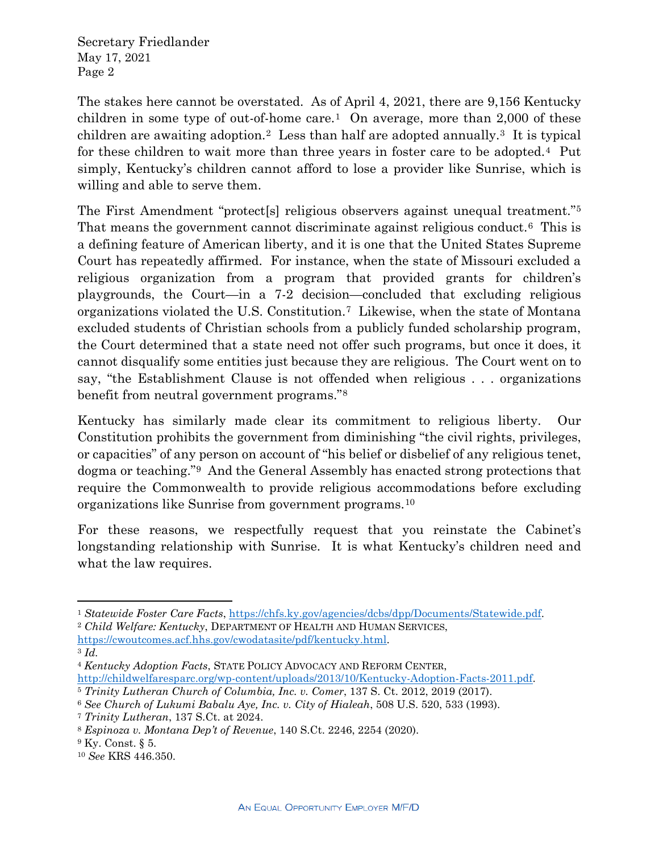Secretary Friedlander May 17, 2021 Page 2

The stakes here cannot be overstated. As of April 4, 2021, there are 9,156 Kentucky children in some type of out-of-home care.<sup>[1](#page-1-0)</sup> On average, more than  $2,000$  of these children are awaiting adoption.<sup>2</sup> Less than half are adopted annually.<sup>[3](#page-1-2)</sup> It is typical for these children to wait more than three years in foster care to be adopted.[4](#page-1-3) Put simply, Kentucky's children cannot afford to lose a provider like Sunrise, which is willing and able to serve them.

The First Amendment "protect[s] religious observers against unequal treatment."[5](#page-1-4) That means the government cannot discriminate against religious conduct.[6](#page-1-5) This is a defining feature of American liberty, and it is one that the United States Supreme Court has repeatedly affirmed. For instance, when the state of Missouri excluded a religious organization from a program that provided grants for children's playgrounds, the Court—in a 7-2 decision—concluded that excluding religious organizations violated the U.S. Constitution.[7](#page-1-6) Likewise, when the state of Montana excluded students of Christian schools from a publicly funded scholarship program, the Court determined that a state need not offer such programs, but once it does, it cannot disqualify some entities just because they are religious. The Court went on to say, "the Establishment Clause is not offended when religious . . . organizations benefit from neutral government programs."[8](#page-1-7)

Kentucky has similarly made clear its commitment to religious liberty. Our Constitution prohibits the government from diminishing "the civil rights, privileges, or capacities" of any person on account of "his belief or disbelief of any religious tenet, dogma or teaching.["9](#page-1-8) And the General Assembly has enacted strong protections that require the Commonwealth to provide religious accommodations before excluding organizations like Sunrise from government programs.[10](#page-1-9)

For these reasons, we respectfully request that you reinstate the Cabinet's longstanding relationship with Sunrise. It is what Kentucky's children need and what the law requires.

 $\overline{\phantom{a}}$ 

<span id="page-1-0"></span><sup>1</sup> *Statewide Foster Care Facts*, [https://chfs.ky.gov/agencies/dcbs/dpp/Documents/Statewide.pdf.](https://chfs.ky.gov/agencies/dcbs/dpp/Documents/Statewide.pdf) 2 *Child Welfare: Kentucky*, DEPARTMENT OF HEALTH AND HUMAN SERVICES,

<span id="page-1-1"></span>

[https://cwoutcomes.acf.hhs.gov/cwodatasite/pdf/kentucky.html.](https://cwoutcomes.acf.hhs.gov/cwodatasite/pdf/kentucky.html) 3 *Id.* 

<span id="page-1-2"></span>

<span id="page-1-3"></span><sup>4</sup> *Kentucky Adoption Facts*, STATE POLICY ADVOCACY AND REFORM CENTER, [http://childwelfaresparc.org/wp-content/uploads/2013/10/Kentucky-Adoption-Facts-2011.pdf.](http://childwelfaresparc.org/wp-content/uploads/2013/10/Kentucky-Adoption-Facts-2011.pdf) 5 *Trinity Lutheran Church of Columbia, Inc. v. Comer*, 137 S. Ct. 2012, 2019 (2017).

<span id="page-1-4"></span>

<span id="page-1-5"></span><sup>6</sup> *See Church of Lukumi Babalu Aye, Inc. v. City of Hialeah*, 508 U.S. 520, 533 (1993).

<span id="page-1-6"></span><sup>7</sup> *Trinity Lutheran*, 137 S.Ct. at 2024.

<span id="page-1-7"></span><sup>8</sup> *Espinoza v. Montana Dep't of Revenue*, 140 S.Ct. 2246, 2254 (2020).

<span id="page-1-8"></span><sup>9</sup> Ky. Const. § 5.

<span id="page-1-9"></span><sup>10</sup> *See* KRS 446.350.